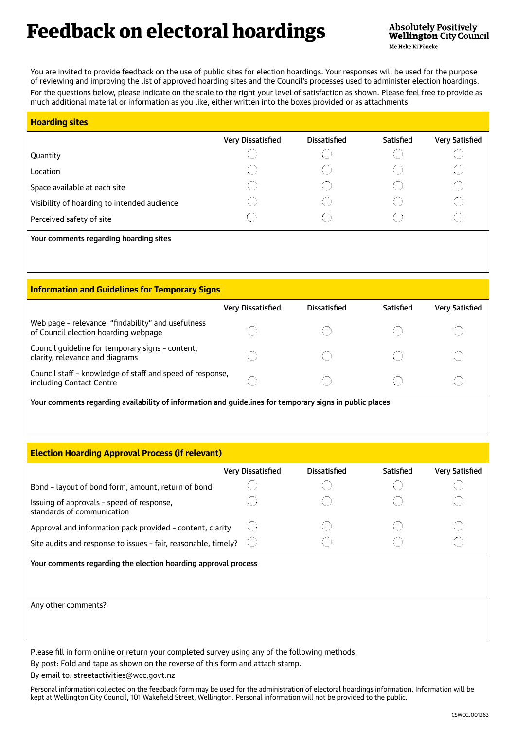## Feedback on electoral hoardings

You are invited to provide feedback on the use of public sites for election hoardings. Your responses will be used for the purpose of reviewing and improving the list of approved hoarding sites and the Council's processes used to administer election hoardings. For the questions below, please indicate on the scale to the right your level of satisfaction as shown. Please feel free to provide as much additional material or information as you like, either written into the boxes provided or as attachments.

| <b>Hoarding sites</b>                       |                   |                     |           |                       |
|---------------------------------------------|-------------------|---------------------|-----------|-----------------------|
|                                             | Very Dissatisfied | <b>Dissatisfied</b> | Satisfied | <b>Very Satisfied</b> |
| Quantity                                    |                   |                     |           |                       |
| Location                                    |                   |                     |           |                       |
| Space available at each site                |                   |                     |           |                       |
| Visibility of hoarding to intended audience |                   |                     |           |                       |
| Perceived safety of site                    |                   |                     |           |                       |
| Your comments regarding hoarding sites      |                   |                     |           |                       |

| <b>Information and Guidelines for Temporary Signs</b>                                                       |                          |                     |           |                |  |
|-------------------------------------------------------------------------------------------------------------|--------------------------|---------------------|-----------|----------------|--|
|                                                                                                             | <b>Very Dissatisfied</b> | <b>Dissatisfied</b> | Satisfied | Very Satisfied |  |
| Web page - relevance, "findability" and usefulness<br>of Council election hoarding webpage                  |                          |                     |           |                |  |
| Council guideline for temporary signs - content,<br>clarity, relevance and diagrams                         |                          |                     |           |                |  |
| Council staff - knowledge of staff and speed of response,<br>including Contact Centre                       |                          |                     |           |                |  |
| . Valle aanimaanta osalahka allah Hallin af tufamilitan alah mitelahkaa footamin amerikaan to milita olaasa |                          |                     |           |                |  |

Your comments regarding availability of information and guidelines for temporary signs in public places

|  |  | <b>Election Hoarding Approval Process (if relevant)</b> |
|--|--|---------------------------------------------------------|
|  |  |                                                         |

|                                                                         | Very Dissatisfied | Dissatisfied | Satisfied | <b>Very Satisfied</b> |
|-------------------------------------------------------------------------|-------------------|--------------|-----------|-----------------------|
| Bond - layout of bond form, amount, return of bond                      |                   |              |           |                       |
| Issuing of approvals - speed of response,<br>standards of communication |                   |              |           |                       |
| Approval and information pack provided - content, clarity               |                   |              |           |                       |
| Site audits and response to issues - fair, reasonable, timely?          |                   |              |           |                       |
| Your comments regarding the election hoarding approval process          |                   |              |           |                       |
| Any other comments?                                                     |                   |              |           |                       |

Please fill in form online or return your completed survey using any of the following methods:

By post: Fold and tape as shown on the reverse of this form and attach stamp.

By email to: streetactivities@wcc.govt.nz

Personal information collected on the feedback form may be used for the administration of electoral hoardings information. Information will be kept at Wellington City Council, 101 Wakefield Street, Wellington. Personal information will not be provided to the public.